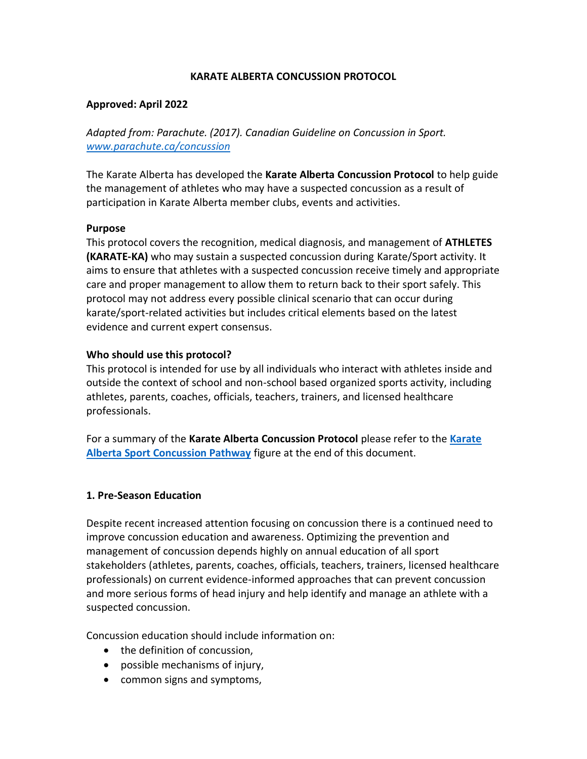### **KARATE ALBERTA CONCUSSION PROTOCOL**

#### **Approved: April 2022**

*Adapted from: Parachute. (2017). Canadian Guideline on Concussion in Sport. [www.parachute.ca/concussion](http://www.parachute.ca/concussion)*

The Karate Alberta has developed the **Karate Alberta Concussion Protocol** to help guide the management of athletes who may have a suspected concussion as a result of participation in Karate Alberta member clubs, events and activities.

#### **Purpose**

This protocol covers the recognition, medical diagnosis, and management of **ATHLETES (KARATE-KA)** who may sustain a suspected concussion during Karate/Sport activity. It aims to ensure that athletes with a suspected concussion receive timely and appropriate care and proper management to allow them to return back to their sport safely. This protocol may not address every possible clinical scenario that can occur during karate/sport-related activities but includes critical elements based on the latest evidence and current expert consensus.

### **Who should use this protocol?**

This protocol is intended for use by all individuals who interact with athletes inside and outside the context of school and non-school based organized sports activity, including athletes, parents, coaches, officials, teachers, trainers, and licensed healthcare professionals.

For a summary of the **Karate Alberta Concussion Protocol** please refer to the **[Karate](#page-8-0)  [Alberta Sport Concussion Pathway](#page-8-0)** figure at the end of this document.

#### **1. Pre-Season Education**

Despite recent increased attention focusing on concussion there is a continued need to improve concussion education and awareness. Optimizing the prevention and management of concussion depends highly on annual education of all sport stakeholders (athletes, parents, coaches, officials, teachers, trainers, licensed healthcare professionals) on current evidence-informed approaches that can prevent concussion and more serious forms of head injury and help identify and manage an athlete with a suspected concussion.

Concussion education should include information on:

- the definition of concussion.
- possible mechanisms of injury,
- common signs and symptoms,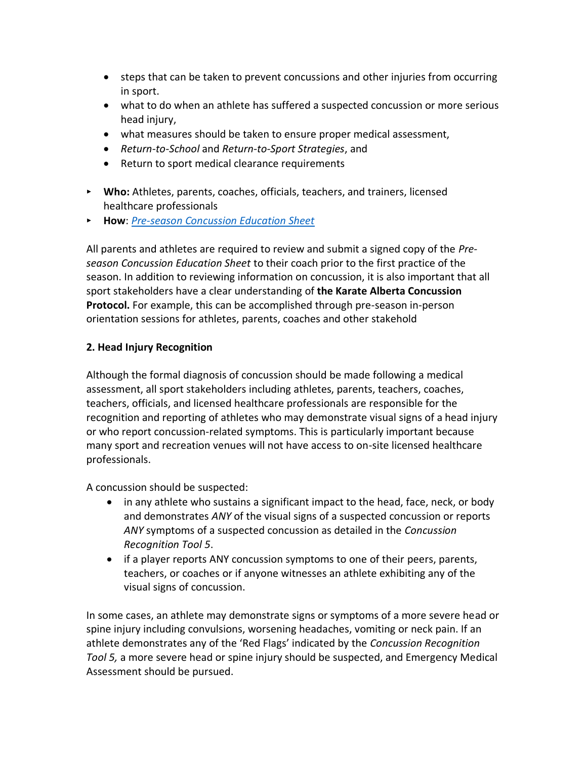- steps that can be taken to prevent concussions and other injuries from occurring in sport.
- what to do when an athlete has suffered a suspected concussion or more serious head injury,
- what measures should be taken to ensure proper medical assessment,
- *Return-to-School* and *Return-to-Sport Strategies*, and
- Return to sport medical clearance requirements
- ‣ **Who:** Athletes, parents, coaches, officials, teachers, and trainers, licensed healthcare professionals
- ‣ **How**: *[Pre-season Concussion Education Sheet](https://parachute.ca/wp-content/uploads/2019/06/Pre-Season-Concussion-Education-Sheet.pdf)*

All parents and athletes are required to review and submit a signed copy of the *Preseason Concussion Education Sheet* to their coach prior to the first practice of the season. In addition to reviewing information on concussion, it is also important that all sport stakeholders have a clear understanding of **the Karate Alberta Concussion Protocol.** For example, this can be accomplished through pre-season in-person orientation sessions for athletes, parents, coaches and other stakehold

## **2. Head Injury Recognition**

Although the formal diagnosis of concussion should be made following a medical assessment, all sport stakeholders including athletes, parents, teachers, coaches, teachers, officials, and licensed healthcare professionals are responsible for the recognition and reporting of athletes who may demonstrate visual signs of a head injury or who report concussion-related symptoms. This is particularly important because many sport and recreation venues will not have access to on-site licensed healthcare professionals.

A concussion should be suspected:

- in any athlete who sustains a significant impact to the head, face, neck, or body and demonstrates *ANY* of the visual signs of a suspected concussion or reports *ANY* symptoms of a suspected concussion as detailed in the *Concussion Recognition Tool 5*.
- if a player reports ANY concussion symptoms to one of their peers, parents, teachers, or coaches or if anyone witnesses an athlete exhibiting any of the visual signs of concussion.

In some cases, an athlete may demonstrate signs or symptoms of a more severe head or spine injury including convulsions, worsening headaches, vomiting or neck pain. If an athlete demonstrates any of the 'Red Flags' indicated by the *Concussion Recognition Tool 5,* a more severe head or spine injury should be suspected, and Emergency Medical Assessment should be pursued.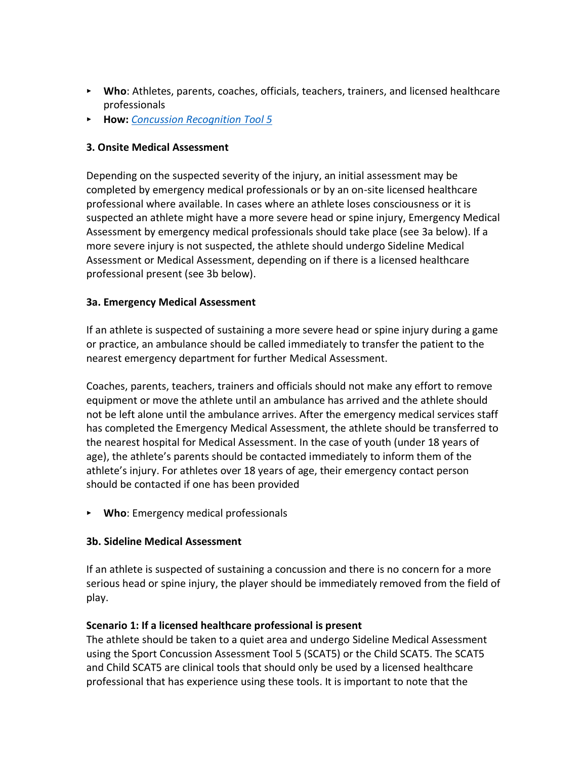- ‣ **Who**: Athletes, parents, coaches, officials, teachers, trainers, and licensed healthcare professionals
- ‣ **How:** *[Concussion Recognition Tool 5](http://bjsm.bmj.com/content/bjsports/early/2017/04/26/bjsports-2017-097508CRT5.full.pdf)*

### **3. Onsite Medical Assessment**

Depending on the suspected severity of the injury, an initial assessment may be completed by emergency medical professionals or by an on-site licensed healthcare professional where available. In cases where an athlete loses consciousness or it is suspected an athlete might have a more severe head or spine injury, Emergency Medical Assessment by emergency medical professionals should take place (see 3a below). If a more severe injury is not suspected, the athlete should undergo Sideline Medical Assessment or Medical Assessment, depending on if there is a licensed healthcare professional present (see 3b below).

#### **3a. Emergency Medical Assessment**

If an athlete is suspected of sustaining a more severe head or spine injury during a game or practice, an ambulance should be called immediately to transfer the patient to the nearest emergency department for further Medical Assessment.

Coaches, parents, teachers, trainers and officials should not make any effort to remove equipment or move the athlete until an ambulance has arrived and the athlete should not be left alone until the ambulance arrives. After the emergency medical services staff has completed the Emergency Medical Assessment, the athlete should be transferred to the nearest hospital for Medical Assessment. In the case of youth (under 18 years of age), the athlete's parents should be contacted immediately to inform them of the athlete's injury. For athletes over 18 years of age, their emergency contact person should be contacted if one has been provided

‣ **Who**: Emergency medical professionals

#### **3b. Sideline Medical Assessment**

If an athlete is suspected of sustaining a concussion and there is no concern for a more serious head or spine injury, the player should be immediately removed from the field of play.

#### **Scenario 1: If a licensed healthcare professional is present**

The athlete should be taken to a quiet area and undergo Sideline Medical Assessment using the Sport Concussion Assessment Tool 5 (SCAT5) or the Child SCAT5. The SCAT5 and Child SCAT5 are clinical tools that should only be used by a licensed healthcare professional that has experience using these tools. It is important to note that the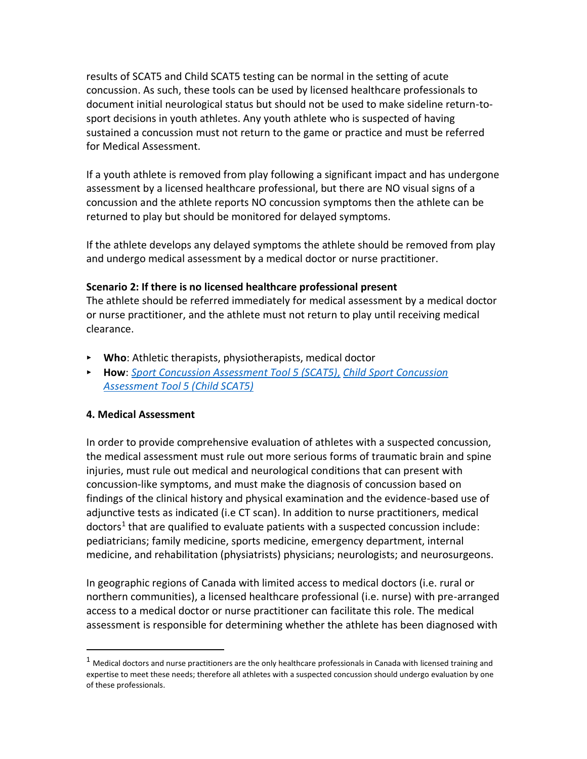results of SCAT5 and Child SCAT5 testing can be normal in the setting of acute concussion. As such, these tools can be used by licensed healthcare professionals to document initial neurological status but should not be used to make sideline return-tosport decisions in youth athletes. Any youth athlete who is suspected of having sustained a concussion must not return to the game or practice and must be referred for Medical Assessment.

If a youth athlete is removed from play following a significant impact and has undergone assessment by a licensed healthcare professional, but there are NO visual signs of a concussion and the athlete reports NO concussion symptoms then the athlete can be returned to play but should be monitored for delayed symptoms.

If the athlete develops any delayed symptoms the athlete should be removed from play and undergo medical assessment by a medical doctor or nurse practitioner.

#### **Scenario 2: If there is no licensed healthcare professional present**

The athlete should be referred immediately for medical assessment by a medical doctor or nurse practitioner, and the athlete must not return to play until receiving medical clearance.

- ‣ **Who**: Athletic therapists, physiotherapists, medical doctor
- ‣ **How**: *[Sport Concussion Assessment Tool 5 \(SCAT5\),](http://bjsm.bmj.com/content/bjsports/early/2017/04/26/bjsports-2017-097506SCAT5.full.pdf) [Child Sport Concussion](http://bjsm.bmj.com/content/bjsports/51/11/862.full.pdf)  [Assessment Tool 5 \(Child SCAT5\)](http://bjsm.bmj.com/content/bjsports/51/11/862.full.pdf)*

### **4. Medical Assessment**

In order to provide comprehensive evaluation of athletes with a suspected concussion, the medical assessment must rule out more serious forms of traumatic brain and spine injuries, must rule out medical and neurological conditions that can present with concussion-like symptoms, and must make the diagnosis of concussion based on findings of the clinical history and physical examination and the evidence-based use of adjunctive tests as indicated (i.e CT scan). In addition to nurse practitioners, medical doctors<sup>1</sup> that are qualified to evaluate patients with a suspected concussion include: pediatricians; family medicine, sports medicine, emergency department, internal medicine, and rehabilitation (physiatrists) physicians; neurologists; and neurosurgeons.

In geographic regions of Canada with limited access to medical doctors (i.e. rural or northern communities), a licensed healthcare professional (i.e. nurse) with pre-arranged access to a medical doctor or nurse practitioner can facilitate this role. The medical assessment is responsible for determining whether the athlete has been diagnosed with

 $1$  Medical doctors and nurse practitioners are the only healthcare professionals in Canada with licensed training and expertise to meet these needs; therefore all athletes with a suspected concussion should undergo evaluation by one of these professionals.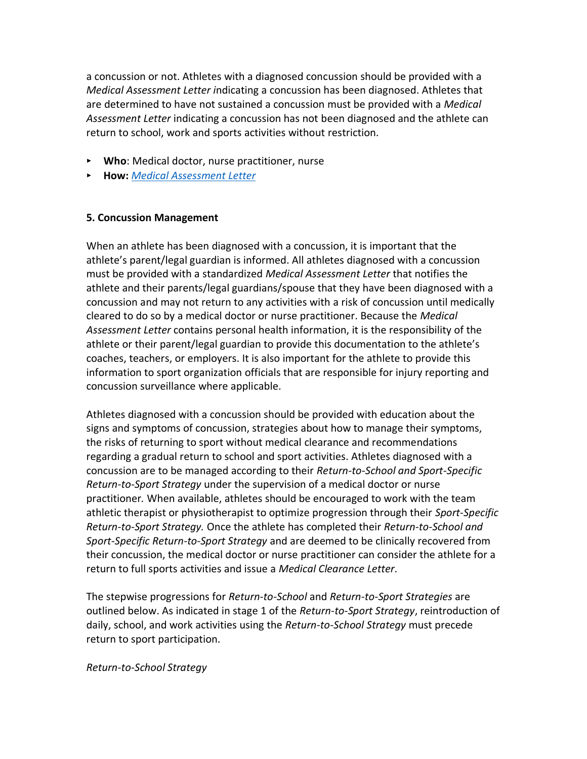a concussion or not. Athletes with a diagnosed concussion should be provided with a *Medical Assessment Letter i*ndicating a concussion has been diagnosed. Athletes that are determined to have not sustained a concussion must be provided with a *Medical Assessment Letter* indicating a concussion has not been diagnosed and the athlete can return to school, work and sports activities without restriction.

- ‣ **Who**: Medical doctor, nurse practitioner, nurse
- ‣ **How:** *[Medical Assessment Letter](https://parachute.ca/wp-content/uploads/2019/09/Medical-Assessment-Letter.pdf)*

#### **5. Concussion Management**

When an athlete has been diagnosed with a concussion, it is important that the athlete's parent/legal guardian is informed. All athletes diagnosed with a concussion must be provided with a standardized *Medical Assessment Letter* that notifies the athlete and their parents/legal guardians/spouse that they have been diagnosed with a concussion and may not return to any activities with a risk of concussion until medically cleared to do so by a medical doctor or nurse practitioner. Because the *Medical Assessment Letter* contains personal health information, it is the responsibility of the athlete or their parent/legal guardian to provide this documentation to the athlete's coaches, teachers, or employers. It is also important for the athlete to provide this information to sport organization officials that are responsible for injury reporting and concussion surveillance where applicable.

Athletes diagnosed with a concussion should be provided with education about the signs and symptoms of concussion, strategies about how to manage their symptoms, the risks of returning to sport without medical clearance and recommendations regarding a gradual return to school and sport activities. Athletes diagnosed with a concussion are to be managed according to their *Return-to-School and Sport-Specific Return-to-Sport Strategy* under the supervision of a medical doctor or nurse practitioner*.* When available, athletes should be encouraged to work with the team athletic therapist or physiotherapist to optimize progression through their *Sport-Specific Return-to-Sport Strategy.* Once the athlete has completed their *Return-to-School and Sport-Specific Return-to-Sport Strategy* and are deemed to be clinically recovered from their concussion, the medical doctor or nurse practitioner can consider the athlete for a return to full sports activities and issue a *Medical Clearance Letter*.

The stepwise progressions for *Return-to-School* and *Return-to-Sport Strategies* are outlined below. As indicated in stage 1 of the *Return-to-Sport Strategy*, reintroduction of daily, school, and work activities using the *Return-to-School Strategy* must precede return to sport participation.

*Return-to-School Strategy*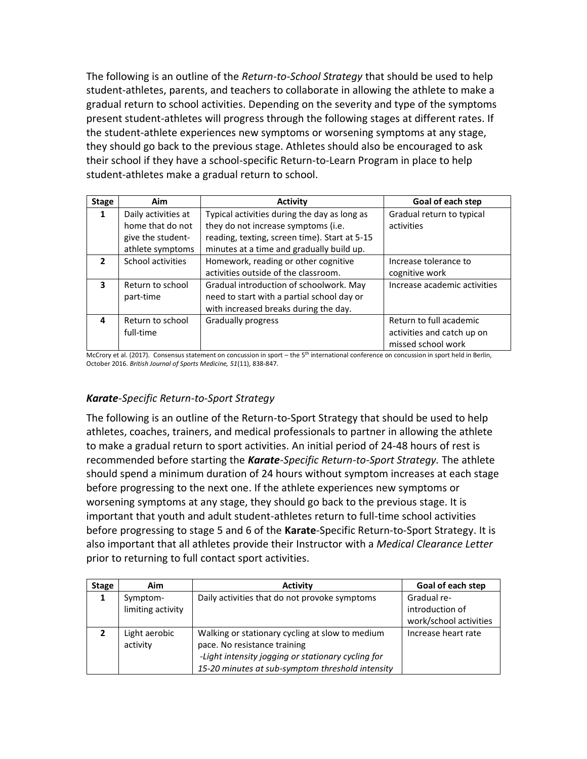The following is an outline of the *Return-to-School Strategy* that should be used to help student-athletes, parents, and teachers to collaborate in allowing the athlete to make a gradual return to school activities. Depending on the severity and type of the symptoms present student-athletes will progress through the following stages at different rates. If the student-athlete experiences new symptoms or worsening symptoms at any stage, they should go back to the previous stage. Athletes should also be encouraged to ask their school if they have a school-specific Return-to-Learn Program in place to help student-athletes make a gradual return to school.

| <b>Stage</b>             | <b>Aim</b>          | <b>Activity</b>                               | Goal of each step            |
|--------------------------|---------------------|-----------------------------------------------|------------------------------|
| $\mathbf 1$              | Daily activities at | Typical activities during the day as long as  | Gradual return to typical    |
|                          | home that do not    | they do not increase symptoms (i.e.           | activities                   |
|                          | give the student-   | reading, texting, screen time). Start at 5-15 |                              |
|                          | athlete symptoms    | minutes at a time and gradually build up.     |                              |
| $\overline{\phantom{a}}$ | School activities   | Homework, reading or other cognitive          | Increase tolerance to        |
|                          |                     | activities outside of the classroom.          | cognitive work               |
| 3                        | Return to school    | Gradual introduction of schoolwork. May       | Increase academic activities |
|                          | part-time           | need to start with a partial school day or    |                              |
|                          |                     | with increased breaks during the day.         |                              |
| 4                        | Return to school    | Gradually progress                            | Return to full academic      |
|                          | full-time           |                                               | activities and catch up on   |
|                          |                     |                                               | missed school work           |

McCrory et al. (2017). Consensus statement on concussion in sport – the 5<sup>th</sup> international conference on concussion in sport held in Berlin, October 2016. *British Journal of Sports Medicine, 51*(11), 838-847.

# *Karate-Specific Return-to-Sport Strategy*

The following is an outline of the Return-to-Sport Strategy that should be used to help athletes, coaches, trainers, and medical professionals to partner in allowing the athlete to make a gradual return to sport activities. An initial period of 24-48 hours of rest is recommended before starting the *Karate-Specific Return-to-Sport Strategy.* The athlete should spend a minimum duration of 24 hours without symptom increases at each stage before progressing to the next one. If the athlete experiences new symptoms or worsening symptoms at any stage, they should go back to the previous stage. It is important that youth and adult student-athletes return to full-time school activities before progressing to stage 5 and 6 of the **Karate**-Specific Return-to-Sport Strategy. It is also important that all athletes provide their Instructor with a *Medical Clearance Letter* prior to returning to full contact sport activities.

| <b>Stage</b> | Aim               | <b>Activity</b>                                    | Goal of each step      |
|--------------|-------------------|----------------------------------------------------|------------------------|
| 1            | Symptom-          | Daily activities that do not provoke symptoms      | Gradual re-            |
|              | limiting activity |                                                    | introduction of        |
|              |                   |                                                    | work/school activities |
| כ,           | Light aerobic     | Walking or stationary cycling at slow to medium    | Increase heart rate    |
|              | activity          | pace. No resistance training                       |                        |
|              |                   | -Light intensity jogging or stationary cycling for |                        |
|              |                   | 15-20 minutes at sub-symptom threshold intensity   |                        |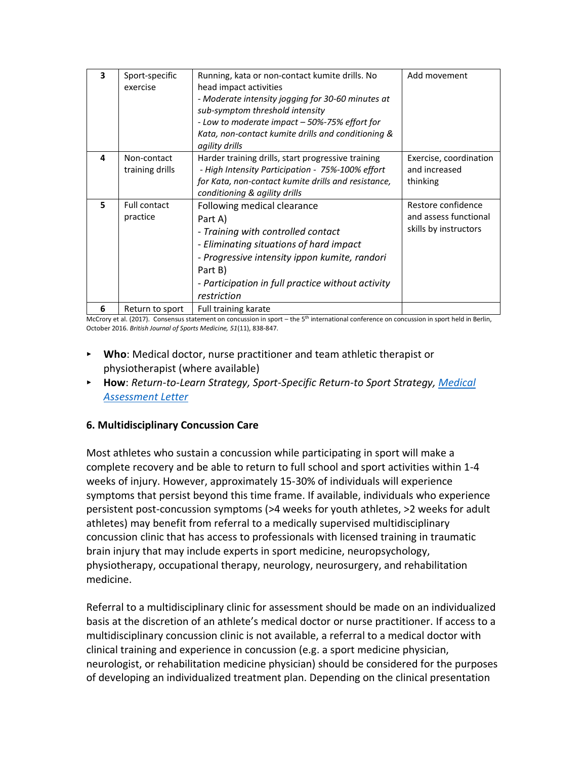| 3 | Sport-specific<br>exercise      | Running, kata or non-contact kumite drills. No<br>head impact activities<br>- Moderate intensity jogging for 30-60 minutes at<br>sub-symptom threshold intensity<br>- Low to moderate impact – 50%-75% effort for<br>Kata, non-contact kumite drills and conditioning &<br>agility drills | Add movement                                                         |
|---|---------------------------------|-------------------------------------------------------------------------------------------------------------------------------------------------------------------------------------------------------------------------------------------------------------------------------------------|----------------------------------------------------------------------|
| 4 | Non-contact<br>training drills  | Harder training drills, start progressive training<br>- High Intensity Participation - 75%-100% effort<br>for Kata, non-contact kumite drills and resistance,<br>conditioning & agility drills                                                                                            | Exercise, coordination<br>and increased<br>thinking                  |
| 5 | <b>Full contact</b><br>practice | Following medical clearance<br>Part A)<br>- Training with controlled contact<br>- Eliminating situations of hard impact<br>- Progressive intensity ippon kumite, randori<br>Part B)<br>- Participation in full practice without activity<br>restriction                                   | Restore confidence<br>and assess functional<br>skills by instructors |
| 6 | Return to sport                 | Full training karate                                                                                                                                                                                                                                                                      |                                                                      |

McCrory et al. (2017). Consensus statement on concussion in sport – the 5<sup>th</sup> international conference on concussion in sport held in Berlin, October 2016. *British Journal of Sports Medicine, 51*(11), 838-847.

- ‣ **Who**: Medical doctor, nurse practitioner and team athletic therapist or physiotherapist (where available)
- ‣ **How**: *Return-to-Learn Strategy, Sport-Specific Return-to Sport Strategy, [Medical](https://parachute.ca/wp-content/uploads/2019/09/Medical-Assessment-Letter.pdf)  [Assessment Letter](https://parachute.ca/wp-content/uploads/2019/09/Medical-Assessment-Letter.pdf)*

### **6. Multidisciplinary Concussion Care**

Most athletes who sustain a concussion while participating in sport will make a complete recovery and be able to return to full school and sport activities within 1-4 weeks of injury. However, approximately 15-30% of individuals will experience symptoms that persist beyond this time frame. If available, individuals who experience persistent post-concussion symptoms (>4 weeks for youth athletes, >2 weeks for adult athletes) may benefit from referral to a medically supervised multidisciplinary concussion clinic that has access to professionals with licensed training in traumatic brain injury that may include experts in sport medicine, neuropsychology, physiotherapy, occupational therapy, neurology, neurosurgery, and rehabilitation medicine.

Referral to a multidisciplinary clinic for assessment should be made on an individualized basis at the discretion of an athlete's medical doctor or nurse practitioner. If access to a multidisciplinary concussion clinic is not available, a referral to a medical doctor with clinical training and experience in concussion (e.g. a sport medicine physician, neurologist, or rehabilitation medicine physician) should be considered for the purposes of developing an individualized treatment plan. Depending on the clinical presentation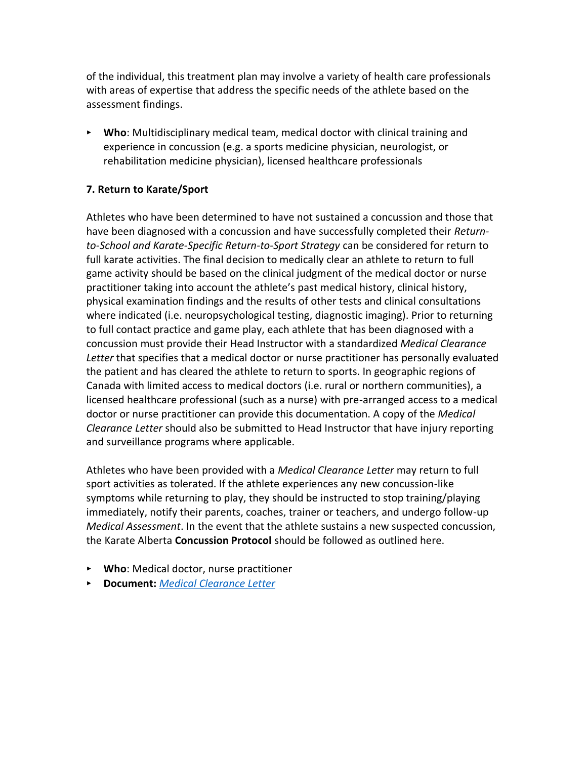of the individual, this treatment plan may involve a variety of health care professionals with areas of expertise that address the specific needs of the athlete based on the assessment findings.

‣ **Who**: Multidisciplinary medical team, medical doctor with clinical training and experience in concussion (e.g. a sports medicine physician, neurologist, or rehabilitation medicine physician), licensed healthcare professionals

### **7. Return to Karate/Sport**

Athletes who have been determined to have not sustained a concussion and those that have been diagnosed with a concussion and have successfully completed their *Returnto-School and Karate-Specific Return-to-Sport Strategy* can be considered for return to full karate activities. The final decision to medically clear an athlete to return to full game activity should be based on the clinical judgment of the medical doctor or nurse practitioner taking into account the athlete's past medical history, clinical history, physical examination findings and the results of other tests and clinical consultations where indicated (i.e. neuropsychological testing, diagnostic imaging). Prior to returning to full contact practice and game play, each athlete that has been diagnosed with a concussion must provide their Head Instructor with a standardized *Medical Clearance Letter* that specifies that a medical doctor or nurse practitioner has personally evaluated the patient and has cleared the athlete to return to sports. In geographic regions of Canada with limited access to medical doctors (i.e. rural or northern communities), a licensed healthcare professional (such as a nurse) with pre-arranged access to a medical doctor or nurse practitioner can provide this documentation. A copy of the *Medical Clearance Letter* should also be submitted to Head Instructor that have injury reporting and surveillance programs where applicable.

Athletes who have been provided with a *Medical Clearance Letter* may return to full sport activities as tolerated. If the athlete experiences any new concussion-like symptoms while returning to play, they should be instructed to stop training/playing immediately, notify their parents, coaches, trainer or teachers, and undergo follow-up *Medical Assessment*. In the event that the athlete sustains a new suspected concussion, the Karate Alberta **Concussion Protocol** should be followed as outlined here.

- ‣ **Who**: Medical doctor, nurse practitioner
- ‣ **Document:** *[Medical Clearance Letter](https://parachute.ca/wp-content/uploads/2019/06/Medical-Clearance-Letter.pdf)*